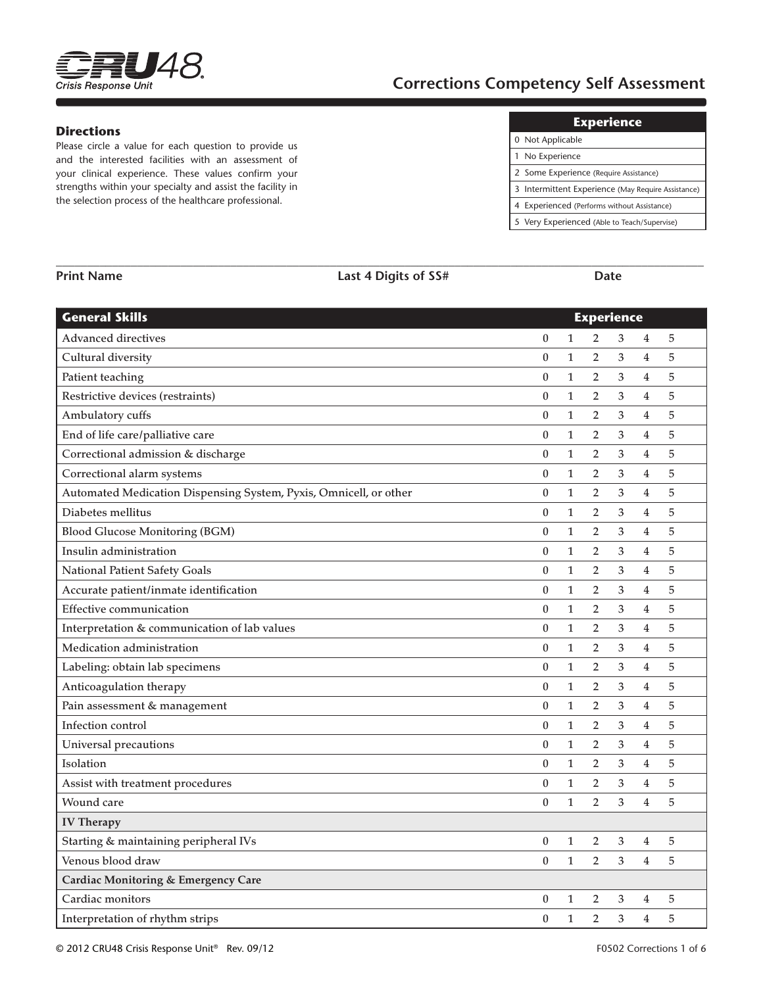

# **Corrections Competency Self Assessment**

## **Directions**

Please circle a value for each question to provide us and the interested facilities with an assessment of your clinical experience. These values confirm your strengths within your specialty and assist the facility in the selection process of the healthcare professional.

| 0 Not Applicable                                   |
|----------------------------------------------------|
| 1 No Experience                                    |
| 2 Some Experience (Require Assistance)             |
| 3 Intermittent Experience (May Require Assistance) |
| 4 Experienced (Performs without Assistance)        |
| 5 Very Experienced (Able to Teach/Supervise)       |

| <b>General Skills</b>                                             | <b>Experience</b> |              |                |                |                         |       |  |  |
|-------------------------------------------------------------------|-------------------|--------------|----------------|----------------|-------------------------|-------|--|--|
| <b>Advanced directives</b>                                        | $\boldsymbol{0}$  | $\mathbf{1}$ | $\overline{2}$ | 3              | 4                       | $5\,$ |  |  |
| Cultural diversity                                                | $\bf{0}$          | $\mathbf{1}$ | $\overline{2}$ | 3              | $\overline{4}$          | 5     |  |  |
| Patient teaching                                                  | $\boldsymbol{0}$  | $\mathbf{1}$ | $\overline{2}$ | 3              | $\overline{4}$          | 5     |  |  |
| Restrictive devices (restraints)                                  | $\boldsymbol{0}$  | $\mathbf{1}$ | $\overline{2}$ | 3              | $\overline{4}$          | 5     |  |  |
| Ambulatory cuffs                                                  | $\boldsymbol{0}$  | $\mathbf{1}$ | $\overline{2}$ | $\mathfrak{Z}$ | $\overline{\mathbf{4}}$ | 5     |  |  |
| End of life care/palliative care                                  | $\boldsymbol{0}$  | $\mathbf{1}$ | $\overline{2}$ | 3              | $\overline{\mathbf{4}}$ | 5     |  |  |
| Correctional admission & discharge                                | $\boldsymbol{0}$  | $\mathbf{1}$ | $\overline{2}$ | 3              | 4                       | 5     |  |  |
| Correctional alarm systems                                        | 0                 | $\mathbf{1}$ | $\overline{2}$ | 3              | 4                       | 5     |  |  |
| Automated Medication Dispensing System, Pyxis, Omnicell, or other | $\boldsymbol{0}$  | $\mathbf{1}$ | $\overline{2}$ | $\mathfrak{Z}$ | $\overline{4}$          | 5     |  |  |
| Diabetes mellitus                                                 | $\boldsymbol{0}$  | $\mathbf{1}$ | $\overline{2}$ | 3              | $\overline{\mathbf{4}}$ | 5     |  |  |
| <b>Blood Glucose Monitoring (BGM)</b>                             | $\boldsymbol{0}$  | $\mathbf{1}$ | $\overline{2}$ | 3              | $\overline{4}$          | 5     |  |  |
| Insulin administration                                            | $\boldsymbol{0}$  | $\mathbf{1}$ | $\overline{2}$ | 3              | 4                       | 5     |  |  |
| <b>National Patient Safety Goals</b>                              | $\bf{0}$          | $\mathbf{1}$ | $\overline{2}$ | 3              | $\overline{4}$          | 5     |  |  |
| Accurate patient/inmate identification                            | $\bf{0}$          | $\mathbf{1}$ | $\overline{2}$ | 3              | $\overline{4}$          | 5     |  |  |
| <b>Effective communication</b>                                    | $\boldsymbol{0}$  | $\mathbf{1}$ | 2              | 3              | $\overline{4}$          | 5     |  |  |
| Interpretation & communication of lab values                      | $\boldsymbol{0}$  | $\mathbf{1}$ | $\overline{2}$ | 3              | $\overline{\mathbf{4}}$ | 5     |  |  |
| Medication administration                                         | $\boldsymbol{0}$  | $\mathbf{1}$ | $\overline{2}$ | 3              | $\overline{4}$          | 5     |  |  |
| Labeling: obtain lab specimens                                    | $\boldsymbol{0}$  | $\mathbf{1}$ | $\overline{2}$ | 3              | $\overline{4}$          | 5     |  |  |
| Anticoagulation therapy                                           | $\boldsymbol{0}$  | $\mathbf{1}$ | $\overline{2}$ | 3              | $\overline{4}$          | 5     |  |  |
| Pain assessment & management                                      | $\boldsymbol{0}$  | $\mathbf{1}$ | $\overline{2}$ | $\mathfrak{Z}$ | $\overline{\mathbf{4}}$ | 5     |  |  |
| Infection control                                                 | $\boldsymbol{0}$  | $\mathbf{1}$ | $\overline{2}$ | 3              | $\overline{\mathbf{4}}$ | 5     |  |  |
| Universal precautions                                             | $\boldsymbol{0}$  | $\mathbf{1}$ | $\overline{2}$ | 3              | 4                       | 5     |  |  |
| Isolation                                                         | 0                 | $\mathbf{1}$ | $\overline{2}$ | 3              | 4                       | 5     |  |  |
| Assist with treatment procedures                                  | $\bf{0}$          | $\mathbf{1}$ | $\overline{2}$ | 3              | $\overline{4}$          | 5     |  |  |
| Wound care                                                        | $\mathbf{0}$      | $\mathbf{1}$ | $\overline{2}$ | 3              | 4                       | 5     |  |  |
| <b>IV Therapy</b>                                                 |                   |              |                |                |                         |       |  |  |
| Starting & maintaining peripheral IVs                             | $\boldsymbol{0}$  | $\mathbf{1}$ | $\overline{2}$ | 3              | 4                       | 5     |  |  |
| Venous blood draw                                                 | $\bf{0}$          | $\mathbf{1}$ | $\overline{2}$ | 3              | 4                       | 5     |  |  |
| <b>Cardiac Monitoring &amp; Emergency Care</b>                    |                   |              |                |                |                         |       |  |  |
| Cardiac monitors                                                  | $\boldsymbol{0}$  | $\mathbf{1}$ | $\overline{2}$ | 3              | 4                       | 5     |  |  |
| Interpretation of rhythm strips                                   | $\theta$          | $\mathbf{1}$ | $\overline{2}$ | 3              | $\overline{4}$          | 5     |  |  |

**\_\_\_\_\_\_\_\_\_\_\_\_\_\_\_\_\_\_\_\_\_\_\_\_\_\_\_\_\_\_\_\_\_\_\_\_\_\_\_\_\_\_\_\_\_\_\_\_\_\_\_\_\_\_\_\_\_\_\_\_\_\_\_\_\_\_\_\_\_\_\_\_\_\_\_\_\_\_\_\_\_\_\_\_\_\_\_\_\_\_\_\_\_\_\_\_\_\_\_\_\_\_\_\_**

**Print Name Last 4 Digits of SS# Date**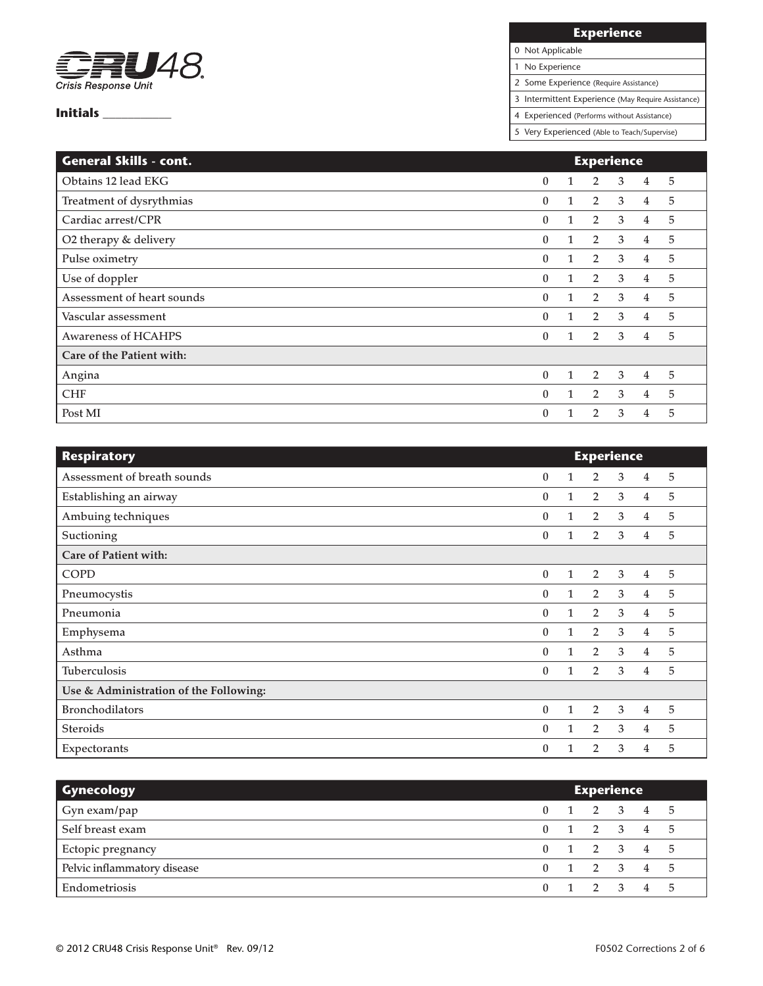

## **Experience**

0 Not Applicable

1 No Experience

2 Some Experience (Require Assistance)

3 Intermittent Experience (May Require Assistance)

4 Experienced (Performs without Assistance)

| <b>General Skills - cont.</b> |              |              | <b>Experience</b> |   |                |   |
|-------------------------------|--------------|--------------|-------------------|---|----------------|---|
| Obtains 12 lead EKG           | $\theta$     | 1            | $\overline{2}$    | 3 | 4              | 5 |
| Treatment of dysrythmias      | $\bf{0}$     | $\mathbf{1}$ | $\overline{2}$    | 3 | $\overline{4}$ | 5 |
| Cardiac arrest/CPR            | $\mathbf{0}$ | 1            | $\overline{2}$    | 3 | 4              | 5 |
| O2 therapy & delivery         | $\mathbf{0}$ | 1            | $\overline{2}$    | 3 | 4              | 5 |
| Pulse oximetry                | $\mathbf{0}$ | 1            | $\overline{2}$    | 3 | $\overline{4}$ | 5 |
| Use of doppler                | $\mathbf{0}$ | 1            | $\overline{2}$    | 3 | 4              | 5 |
| Assessment of heart sounds    | $\mathbf{0}$ | $\mathbf{1}$ | $\overline{2}$    | 3 | 4              | 5 |
| Vascular assessment           | $\mathbf{0}$ | $\mathbf{1}$ | $\overline{2}$    | 3 | $\overline{4}$ | 5 |
| <b>Awareness of HCAHPS</b>    | $\mathbf{0}$ | $\mathbf{1}$ | $\overline{2}$    | 3 | $\overline{4}$ | 5 |
| Care of the Patient with:     |              |              |                   |   |                |   |
| Angina                        | $\theta$     | $\mathbf{1}$ | $\overline{2}$    | 3 | $\overline{4}$ | 5 |
| <b>CHF</b>                    | $\mathbf{0}$ | 1            | $\overline{2}$    | 3 | $\overline{4}$ | 5 |
| Post MI                       | $\theta$     |              | $\overline{2}$    | 3 | 4              | 5 |

| <b>Respiratory</b>                     |              |              | <b>Experience</b> |   |                |   |  |
|----------------------------------------|--------------|--------------|-------------------|---|----------------|---|--|
| Assessment of breath sounds            | $\mathbf{0}$ | 1            | $\overline{2}$    | 3 | 4              | 5 |  |
| Establishing an airway                 | $\mathbf{0}$ | $\mathbf{1}$ | $\overline{2}$    | 3 | $\overline{4}$ | 5 |  |
| Ambuing techniques                     | $\mathbf{0}$ | 1            | $\overline{2}$    | 3 | $\overline{4}$ | 5 |  |
| Suctioning                             | $\mathbf{0}$ | $\mathbf{1}$ | $\overline{2}$    | 3 | 4              | 5 |  |
| Care of Patient with:                  |              |              |                   |   |                |   |  |
| <b>COPD</b>                            | $\mathbf{0}$ | $\mathbf{1}$ | 2                 | 3 | 4              | 5 |  |
| Pneumocystis                           | $\Omega$     | $\mathbf{1}$ | $\overline{2}$    | 3 | 4              | 5 |  |
| Pneumonia                              | $\mathbf{0}$ | $\mathbf{1}$ | $\overline{2}$    | 3 | $\overline{4}$ | 5 |  |
| Emphysema                              | $\mathbf{0}$ | $\mathbf{1}$ | 2                 | 3 | 4              | 5 |  |
| Asthma                                 | $\mathbf{0}$ | $\mathbf{1}$ | $\overline{2}$    | 3 | 4              | 5 |  |
| <b>Tuberculosis</b>                    | $\mathbf{0}$ | $\mathbf{1}$ | $\overline{2}$    | 3 | 4              | 5 |  |
| Use & Administration of the Following: |              |              |                   |   |                |   |  |
| <b>Bronchodilators</b>                 | $\mathbf{0}$ | $\mathbf{1}$ | $\overline{2}$    | 3 | 4              | 5 |  |
| <b>Steroids</b>                        | $\mathbf{0}$ | $\mathbf{1}$ | $\overline{2}$    | 3 | $\overline{4}$ | 5 |  |
| Expectorants                           | 0            |              | 2                 | 3 | 4              | 5 |  |

| <b>Gynecology</b>           |  |  | <b>Experience</b>       |  |  |
|-----------------------------|--|--|-------------------------|--|--|
| Gyn exam/pap                |  |  | 0 1 2 3 4 5             |  |  |
| Self breast exam            |  |  | 0 1 2 3 4 5             |  |  |
| Ectopic pregnancy           |  |  | 1 2 3 4 5               |  |  |
| Pelvic inflammatory disease |  |  | $0 \t1 \t2 \t3 \t4 \t5$ |  |  |
| Endometriosis               |  |  | 1 2 3 4 5               |  |  |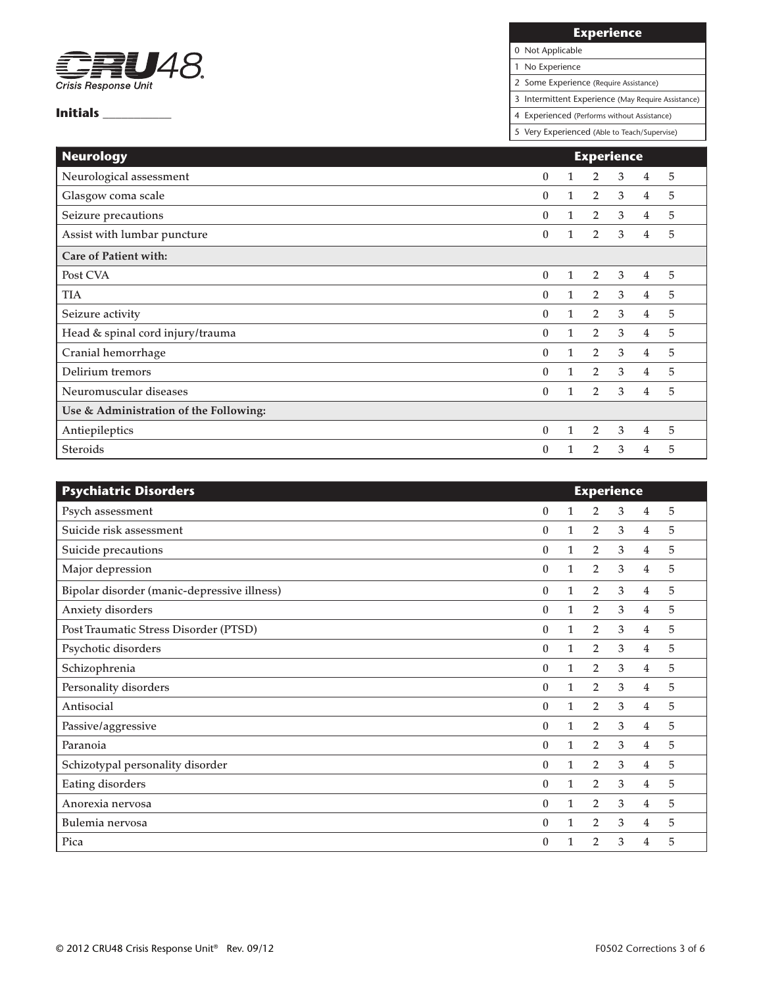

**Experience**

0 Not Applicable 1 No Experience

2 Some Experience (Require Assistance)

3 Intermittent Experience (May Require Assistance)

4 Experienced (Performs without Assistance)

| <b>Neurology</b>                       |              |              |                | <b>Experience</b> |                |   |  |  |
|----------------------------------------|--------------|--------------|----------------|-------------------|----------------|---|--|--|
| Neurological assessment                | $\theta$     | 1            | $\overline{2}$ | 3                 | 4              | 5 |  |  |
| Glasgow coma scale                     | $\mathbf{0}$ | 1            | $\overline{2}$ | 3                 | 4              | 5 |  |  |
| Seizure precautions                    | $\mathbf{0}$ | 1            | $\overline{2}$ | 3                 | 4              | 5 |  |  |
| Assist with lumbar puncture            | $\theta$     | 1            | $\overline{2}$ | 3                 | 4              | 5 |  |  |
| Care of Patient with:                  |              |              |                |                   |                |   |  |  |
| Post CVA                               | $\mathbf{0}$ | 1            | $\overline{2}$ | 3                 | $\overline{4}$ | 5 |  |  |
| <b>TIA</b>                             | $\theta$     | $\mathbf{1}$ | $\overline{2}$ | 3                 | 4              | 5 |  |  |
| Seizure activity                       | $\theta$     | 1            | $\overline{2}$ | 3                 | $\overline{4}$ | 5 |  |  |
| Head & spinal cord injury/trauma       | $\theta$     | $\mathbf{1}$ | $\overline{2}$ | 3                 | 4              | 5 |  |  |
| Cranial hemorrhage                     | $\theta$     | 1            | $\overline{2}$ | 3                 | 4              | 5 |  |  |
| Delirium tremors                       | $\theta$     | 1            | $\overline{2}$ | 3                 | 4              | 5 |  |  |
| Neuromuscular diseases                 | $\theta$     | $\mathbf{1}$ | $\overline{2}$ | 3                 | 4              | 5 |  |  |
| Use & Administration of the Following: |              |              |                |                   |                |   |  |  |
| Antiepileptics                         | $\mathbf{0}$ | $\mathbf{1}$ | $\overline{2}$ | 3                 | $\overline{4}$ | 5 |  |  |
| <b>Steroids</b>                        | $\theta$     |              | 2              | 3                 | 4              | 5 |  |  |

| <b>Psychiatric Disorders</b>                |              |              |                | <b>Experience</b> |                |   |
|---------------------------------------------|--------------|--------------|----------------|-------------------|----------------|---|
| Psych assessment                            | $\mathbf{0}$ | 1            | $\overline{2}$ | 3                 | 4              | 5 |
| Suicide risk assessment                     | $\mathbf{0}$ | 1            | $\overline{2}$ | 3                 | 4              | 5 |
| Suicide precautions                         | $\mathbf{0}$ | 1            | $\overline{2}$ | 3                 | $\overline{4}$ | 5 |
| Major depression                            | $\theta$     | 1            | $\overline{2}$ | 3                 | 4              | 5 |
| Bipolar disorder (manic-depressive illness) | $\mathbf{0}$ | $\mathbf{1}$ | $\overline{2}$ | 3                 | 4              | 5 |
| Anxiety disorders                           | $\mathbf{0}$ | $\mathbf{1}$ | $\overline{2}$ | 3                 | 4              | 5 |
| Post Traumatic Stress Disorder (PTSD)       | $\mathbf{0}$ | $\mathbf{1}$ | $\overline{2}$ | 3                 | 4              | 5 |
| Psychotic disorders                         | $\mathbf{0}$ | 1            | $\overline{2}$ | 3                 | 4              | 5 |
| Schizophrenia                               | $\mathbf{0}$ | 1            | $\overline{2}$ | 3                 | 4              | 5 |
| Personality disorders                       | $\mathbf{0}$ | 1            | $\overline{2}$ | 3                 | 4              | 5 |
| Antisocial                                  | $\mathbf{0}$ | 1            | $\overline{2}$ | 3                 | 4              | 5 |
| Passive/aggressive                          | $\mathbf{0}$ | 1            | $\overline{2}$ | 3                 | 4              | 5 |
| Paranoia                                    | $\theta$     | 1            | $\overline{2}$ | 3                 | 4              | 5 |
| Schizotypal personality disorder            | $\mathbf{0}$ | 1            | $\overline{2}$ | 3                 | 4              | 5 |
| Eating disorders                            | $\mathbf{0}$ | 1            | $\overline{2}$ | 3                 | 4              | 5 |
| Anorexia nervosa                            | $\mathbf{0}$ | 1            | 2              | 3                 | 4              | 5 |
| Bulemia nervosa                             | $\theta$     |              | $\overline{2}$ | 3                 | 4              | 5 |
| Pica                                        | $\theta$     |              | $\overline{2}$ | 3                 | 4              | 5 |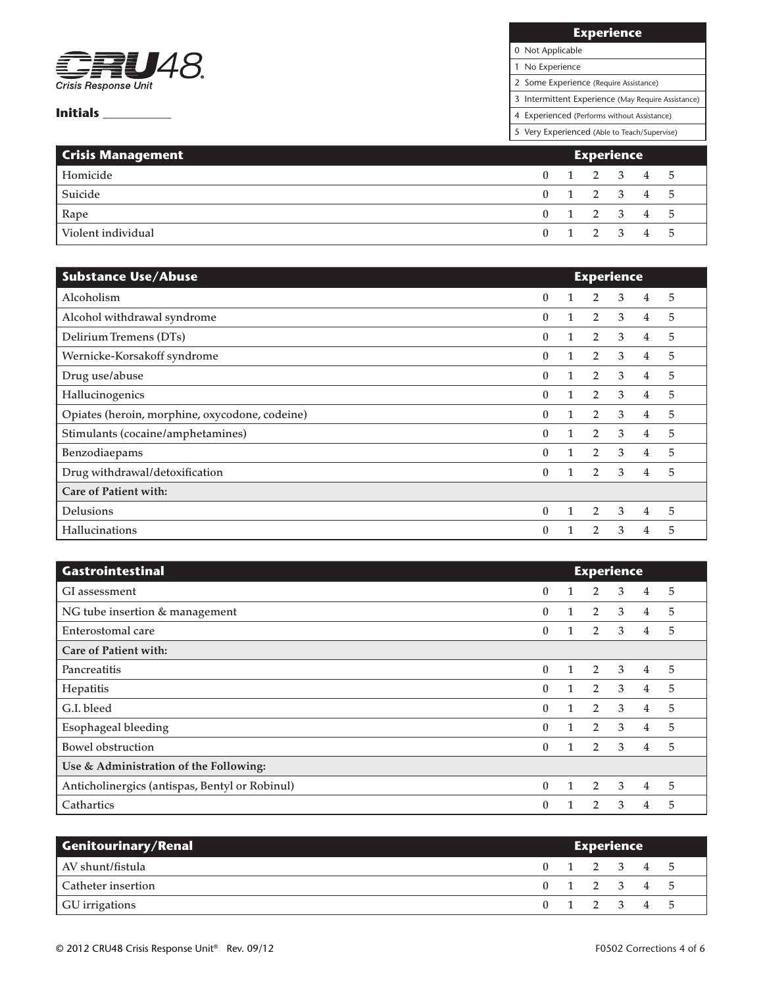

| <b>Experience</b>                                  |
|----------------------------------------------------|
| 0 Not Applicable                                   |
| No Experience                                      |
| 2 Some Experience (Require Assistance)             |
| 3 Intermittent Experience (May Require Assistance) |
| 4 Experienced (Performs without Assistance)        |
|                                                    |

| <b>Crisis Management</b> |  |  | <b>Experience</b> |                         |  |
|--------------------------|--|--|-------------------|-------------------------|--|
| Homicide                 |  |  |                   | $0 \t1 \t2 \t3 \t4 \t5$ |  |
| Suicide                  |  |  |                   | 0 1 2 3 4 5             |  |
| Rape                     |  |  |                   | 0 1 2 3 4 5             |  |
| Violent individual       |  |  |                   | 0 1 2 3 4 5             |  |

| <b>Substance Use/Abuse</b>                     |              |   | <b>Experience</b> |   |                |   |
|------------------------------------------------|--------------|---|-------------------|---|----------------|---|
| Alcoholism                                     | 0            |   | 2                 | 3 | 4              | 5 |
| Alcohol withdrawal syndrome                    | $\theta$     | 1 | $\overline{2}$    | 3 | $\overline{4}$ | 5 |
| Delirium Tremens (DTs)                         | $\mathbf{0}$ | 1 | $\overline{2}$    | 3 | 4              | 5 |
| Wernicke-Korsakoff syndrome                    | $\theta$     | 1 | 2                 | 3 | 4              | 5 |
| Drug use/abuse                                 | $\mathbf{0}$ | 1 | $\overline{2}$    | 3 | 4              | 5 |
| Hallucinogenics                                | $\mathbf{0}$ |   | $\overline{2}$    | 3 | 4              | 5 |
| Opiates (heroin, morphine, oxycodone, codeine) | $\mathbf{0}$ | 1 | $\overline{2}$    | 3 | 4              | 5 |
| Stimulants (cocaine/amphetamines)              | $\theta$     |   | $\overline{2}$    | 3 | 4              | 5 |
| Benzodiaepams                                  | $\mathbf{0}$ | 1 | $\overline{2}$    | 3 | $\overline{4}$ | 5 |
| Drug withdrawal/detoxification                 | $\theta$     | 1 | $\overline{2}$    | 3 | $\overline{4}$ | 5 |
| Care of Patient with:                          |              |   |                   |   |                |   |
| Delusions                                      | $\mathbf{0}$ |   | $\overline{2}$    | 3 | 4              | 5 |
| Hallucinations                                 | $\theta$     |   | 2                 | 3 | 4              | 5 |

| <b>Gastrointestinal</b>                        |                  |  | <b>Experience</b> |   |                |   |  |
|------------------------------------------------|------------------|--|-------------------|---|----------------|---|--|
| GI assessment                                  | $\boldsymbol{0}$ |  | 2                 | 3 | 4              | 5 |  |
| NG tube insertion & management                 | $\theta$         |  | $\overline{2}$    | 3 | 4              | 5 |  |
| Enterostomal care                              | $\mathbf{0}$     |  | 2                 | 3 | 4              | 5 |  |
| Care of Patient with:                          |                  |  |                   |   |                |   |  |
| Pancreatitis                                   | $\theta$         |  | 2                 | 3 | 4              | 5 |  |
| Hepatitis                                      | $\mathbf{0}$     |  | 2                 | 3 | $\overline{4}$ | 5 |  |
| G.I. bleed                                     | $\mathbf{0}$     |  | 2                 | 3 | $\overline{4}$ | 5 |  |
| <b>Esophageal bleeding</b>                     | $\theta$         |  | 2                 | 3 | 4              | 5 |  |
| <b>Bowel obstruction</b>                       | $\mathbf{0}$     |  | 2                 | 3 | $\overline{4}$ | 5 |  |
| Use & Administration of the Following:         |                  |  |                   |   |                |   |  |
| Anticholinergics (antispas, Bentyl or Robinul) | $\theta$         |  | 2                 | 3 | $\overline{4}$ | 5 |  |
| Cathartics                                     | $\Omega$         |  | $\overline{2}$    | 3 | 4              | 5 |  |

| <b>Genitourinary/Renal</b> | <b>Experience</b> |  |             |  |  |
|----------------------------|-------------------|--|-------------|--|--|
| AV shunt/fistula           |                   |  | 0 1 2 3 4 5 |  |  |
| Catheter insertion         |                   |  | 0 1 2 3 4 5 |  |  |
| GU irrigations             |                   |  | 0 1 2 3 4 5 |  |  |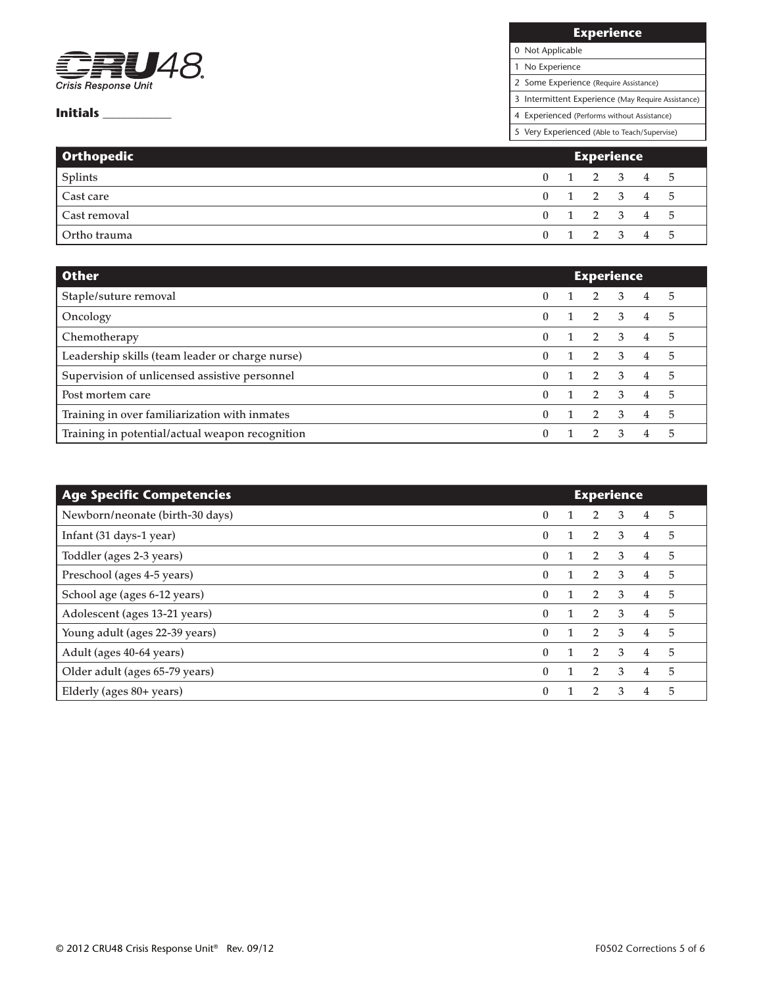

| <b>Experience</b>                                  |
|----------------------------------------------------|
| 0 Not Applicable                                   |
| 1 No Experience                                    |
| 2 Some Experience (Require Assistance)             |
| 3 Intermittent Experience (May Require Assistance) |
| 4 Experienced (Performs without Assistance)        |

| Orthopedic   | <b>Experience</b> |  |  |  |             |  |
|--------------|-------------------|--|--|--|-------------|--|
| Splints      |                   |  |  |  | 0 1 2 3 4 5 |  |
| Cast care    |                   |  |  |  | 0 1 2 3 4 5 |  |
| Cast removal |                   |  |  |  | 0 1 2 3 4 5 |  |
| Ortho trauma |                   |  |  |  | 0 1 2 3 4 5 |  |

| <b>Other</b>                                    | <b>Experience</b> |  |                     |              |                |    |
|-------------------------------------------------|-------------------|--|---------------------|--------------|----------------|----|
| Staple/suture removal                           | 0                 |  | $1 \quad 2 \quad 3$ |              | $4^{\circ}$    | -5 |
| Oncology                                        |                   |  | 2 3                 |              | 4              | 5  |
| Chemotherapy                                    |                   |  |                     | $2 \quad 3$  | $\overline{4}$ | 5  |
| Leadership skills (team leader or charge nurse) | 0                 |  | $2 \quad 3$         |              | 4              | 5  |
| Supervision of unlicensed assistive personnel   |                   |  | $2 \quad 3$         |              | 4              | 5  |
| Post mortem care                                | 0                 |  | $2 \quad 3$         |              | 4              | 5  |
| Training in over familiarization with inmates   |                   |  | $\overline{2}$      | $\mathbf{3}$ | 4              | 5  |
| Training in potential/actual weapon recognition |                   |  |                     | $\mathbf{3}$ | 4              | 5  |

| <b>Age Specific Competencies</b> | <b>Experience</b> |  |                |   |                |   |
|----------------------------------|-------------------|--|----------------|---|----------------|---|
| Newborn/neonate (birth-30 days)  | $\mathbf{0}$      |  | 2              | 3 | 4              | 5 |
| Infant (31 days-1 year)          | $\theta$          |  | $\overline{2}$ | 3 | 4              | 5 |
| Toddler (ages 2-3 years)         | $\theta$          |  | 2              | 3 | 4              | 5 |
| Preschool (ages 4-5 years)       | $\mathbf{0}$      |  | 2              | 3 | 4              | 5 |
| School age (ages 6-12 years)     | $\theta$          |  | 2              | 3 | 4              | 5 |
| Adolescent (ages 13-21 years)    | $\Omega$          |  | $\overline{2}$ | 3 | $\overline{4}$ | 5 |
| Young adult (ages 22-39 years)   | $\theta$          |  | 2              | 3 | 4              | 5 |
| Adult (ages 40-64 years)         | $\theta$          |  | 2              | 3 | 4              | 5 |
| Older adult (ages 65-79 years)   | $\mathbf{0}$      |  | $\overline{2}$ | 3 | 4              | 5 |
| Elderly (ages 80+ years)         | $\mathbf{0}$      |  | $\mathcal{P}$  | 3 | $\overline{4}$ | 5 |